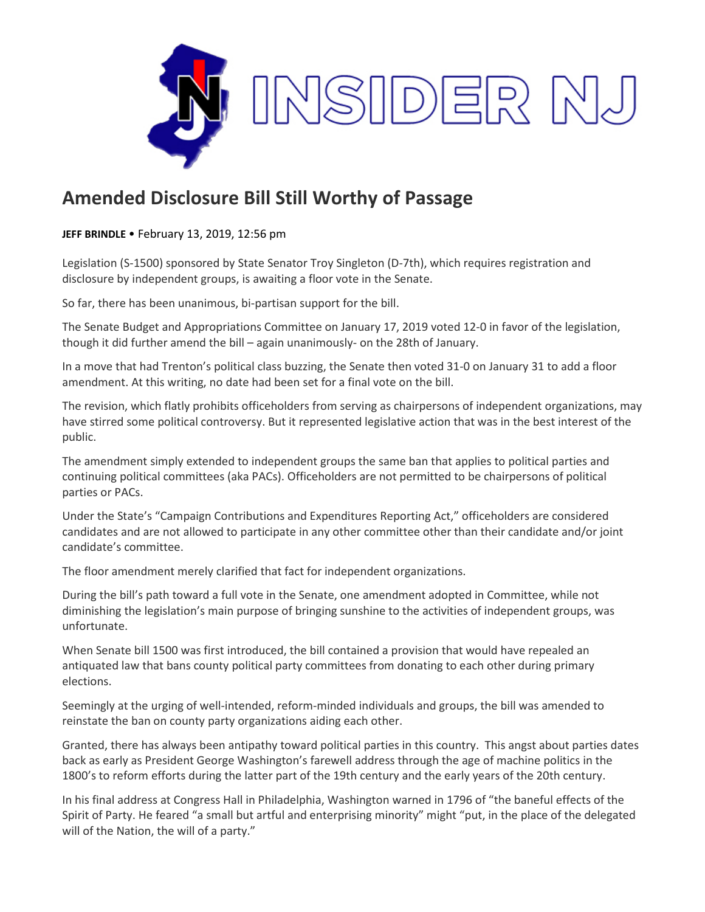

## **Amended Disclosure Bill Still Worthy of Passage**

## **JEFF BRINDLE** • February 13, 2019, 12:56 pm

Legislation (S-1500) sponsored by State Senator Troy Singleton (D-7th), which requires registration and disclosure by independent groups, is awaiting a floor vote in the Senate.

So far, there has been unanimous, bi-partisan support for the bill.

The Senate Budget and Appropriations Committee on January 17, 2019 voted 12-0 in favor of the legislation, though it did further amend the bill – again unanimously- on the 28th of January.

In a move that had Trenton's political class buzzing, the Senate then voted 31-0 on January 31 to add a floor amendment. At this writing, no date had been set for a final vote on the bill.

The revision, which flatly prohibits officeholders from serving as chairpersons of independent organizations, may have stirred some political controversy. But it represented legislative action that was in the best interest of the public.

The amendment simply extended to independent groups the same ban that applies to political parties and continuing political committees (aka PACs). Officeholders are not permitted to be chairpersons of political parties or PACs.

Under the State's "Campaign Contributions and Expenditures Reporting Act," officeholders are considered candidates and are not allowed to participate in any other committee other than their candidate and/or joint candidate's committee.

The floor amendment merely clarified that fact for independent organizations.

During the bill's path toward a full vote in the Senate, one amendment adopted in Committee, while not diminishing the legislation's main purpose of bringing sunshine to the activities of independent groups, was unfortunate.

When Senate bill 1500 was first introduced, the bill contained a provision that would have repealed an antiquated law that bans county political party committees from donating to each other during primary elections.

Seemingly at the urging of well-intended, reform-minded individuals and groups, the bill was amended to reinstate the ban on county party organizations aiding each other.

Granted, there has always been antipathy toward political parties in this country. This angst about parties dates back as early as President George Washington's farewell address through the age of machine politics in the 1800's to reform efforts during the latter part of the 19th century and the early years of the 20th century.

In his final address at Congress Hall in Philadelphia, Washington warned in 1796 of "the baneful effects of the Spirit of Party. He feared "a small but artful and enterprising minority" might "put, in the place of the delegated will of the Nation, the will of a party."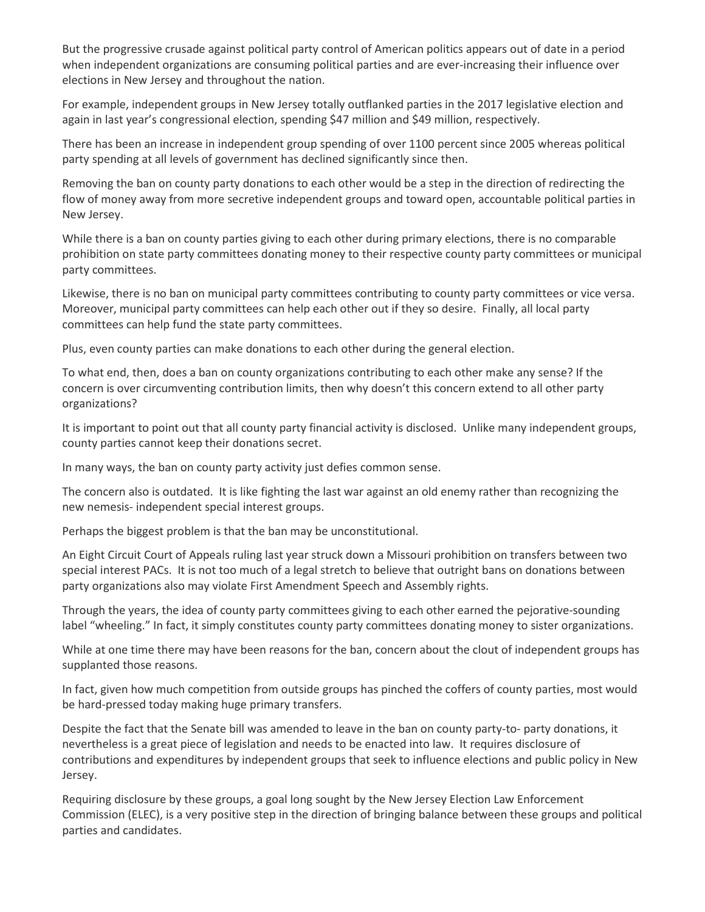But the progressive crusade against political party control of American politics appears out of date in a period when independent organizations are consuming political parties and are ever-increasing their influence over elections in New Jersey and throughout the nation.

For example, independent groups in New Jersey totally outflanked parties in the 2017 legislative election and again in last year's congressional election, spending \$47 million and \$49 million, respectively.

There has been an increase in independent group spending of over 1100 percent since 2005 whereas political party spending at all levels of government has declined significantly since then.

Removing the ban on county party donations to each other would be a step in the direction of redirecting the flow of money away from more secretive independent groups and toward open, accountable political parties in New Jersey.

While there is a ban on county parties giving to each other during primary elections, there is no comparable prohibition on state party committees donating money to their respective county party committees or municipal party committees.

Likewise, there is no ban on municipal party committees contributing to county party committees or vice versa. Moreover, municipal party committees can help each other out if they so desire. Finally, all local party committees can help fund the state party committees.

Plus, even county parties can make donations to each other during the general election.

To what end, then, does a ban on county organizations contributing to each other make any sense? If the concern is over circumventing contribution limits, then why doesn't this concern extend to all other party organizations?

It is important to point out that all county party financial activity is disclosed. Unlike many independent groups, county parties cannot keep their donations secret.

In many ways, the ban on county party activity just defies common sense.

The concern also is outdated. It is like fighting the last war against an old enemy rather than recognizing the new nemesis- independent special interest groups.

Perhaps the biggest problem is that the ban may be unconstitutional.

An Eight Circuit Court of Appeals ruling last year struck down a Missouri prohibition on transfers between two special interest PACs. It is not too much of a legal stretch to believe that outright bans on donations between party organizations also may violate First Amendment Speech and Assembly rights.

Through the years, the idea of county party committees giving to each other earned the pejorative-sounding label "wheeling." In fact, it simply constitutes county party committees donating money to sister organizations.

While at one time there may have been reasons for the ban, concern about the clout of independent groups has supplanted those reasons.

In fact, given how much competition from outside groups has pinched the coffers of county parties, most would be hard-pressed today making huge primary transfers.

Despite the fact that the Senate bill was amended to leave in the ban on county party-to- party donations, it nevertheless is a great piece of legislation and needs to be enacted into law. It requires disclosure of contributions and expenditures by independent groups that seek to influence elections and public policy in New Jersey.

Requiring disclosure by these groups, a goal long sought by the New Jersey Election Law Enforcement Commission (ELEC), is a very positive step in the direction of bringing balance between these groups and political parties and candidates.